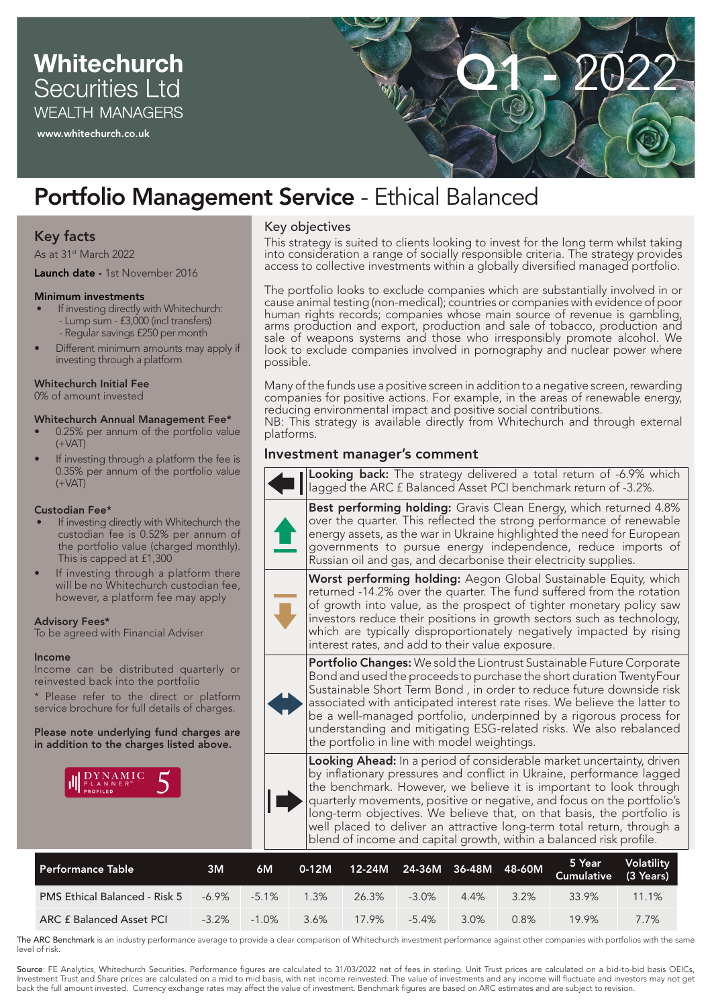# **Whitechurch Securities Ltd WEALTH MANAGERS**

www.whitechurch.co.uk



# Portfolio Management Service - Ethical Balanced

# Key facts

As at 31<sup>st</sup> March 2022

#### Launch date - 1st November 2016

#### Minimum investments

- If investing directly with Whitechurch: - Lump sum - £3,000 (incl transfers) - Regular savings £250 per month
- Different minimum amounts may apply if investing through a platform

#### Whitechurch Initial Fee

0% of amount invested

#### Whitechurch Annual Management Fee\*

- 0.25% per annum of the portfolio value  $(+VAT)$
- If investing through a platform the fee is 0.35% per annum of the portfolio value  $(+VAT)$

#### Custodian Fee\*

- If investing directly with Whitechurch the custodian fee is 0.52% per annum of the portfolio value (charged monthly). This is capped at £1,300
- If investing through a platform there will be no Whitechurch custodian fee, however, a platform fee may apply

#### Advisory Fees\*

To be agreed with Financial Adviser

#### Income

Income can be distributed quarterly or reinvested back into the portfolio

\* Please refer to the direct or platform service brochure for full details of charges.

Please note underlying fund charges are in addition to the charges listed above.



# Key objectives

This strategy is suited to clients looking to invest for the long term whilst taking into consideration a range of socially responsible criteria. The strategy provides access to collective investments within a globally diversified managed portfolio.

The portfolio looks to exclude companies which are substantially involved in or cause animal testing (non-medical); countries or companies with evidence of poor human rights records; companies whose main source of revenue is gambling, arms production and export, production and sale of tobacco, production and sale of weapons systems and those who irresponsibly promote alcohol. We look to exclude companies involved in pornography and nuclear power where possible.

Many of the funds use a positive screen in addition to a negative screen, rewarding companies for positive actions. For example, in the areas of renewable energy, reducing environmental impact and positive social contributions. NB: This strategy is available directly from Whitechurch and through external platforms.

# Investment manager's comment

| 6M | Volatility<br>5 Year<br>$24 - 36M$ 36-48M<br>48-60M<br>$0-12M$<br>12-24M<br><b>Cumulative</b><br>(3 Years)                                                                                                                                                                                                                                                                                                                                                                                                                 |  |  |  |  |  |  |  |  |
|----|----------------------------------------------------------------------------------------------------------------------------------------------------------------------------------------------------------------------------------------------------------------------------------------------------------------------------------------------------------------------------------------------------------------------------------------------------------------------------------------------------------------------------|--|--|--|--|--|--|--|--|
|    | Looking Ahead: In a period of considerable market uncertainty, driven<br>by inflationary pressures and conflict in Ukraine, performance lagged<br>the benchmark. However, we believe it is important to look through<br>quarterly movements, positive or negative, and focus on the portfolio's<br>long-term objectives. We believe that, on that basis, the portfolio is<br>well placed to deliver an attractive long-term total return, through a<br>blend of income and capital growth, within a balanced risk profile. |  |  |  |  |  |  |  |  |
|    | Portfolio Changes: We sold the Liontrust Sustainable Future Corporate<br>Bond and used the proceeds to purchase the short duration TwentyFour<br>Sustainable Short Term Bond, in order to reduce future downside risk<br>associated with anticipated interest rate rises. We believe the latter to<br>be a well-managed portfolio, underpinned by a rigorous process for<br>understanding and mitigating ESG-related risks. We also rebalanced<br>the portfolio in line with model weightings.                             |  |  |  |  |  |  |  |  |
|    | Worst performing holding: Aegon Global Sustainable Equity, which<br>returned -14.2% over the quarter. The fund suffered from the rotation<br>of growth into value, as the prospect of tighter monetary policy saw<br>investors reduce their positions in growth sectors such as technology,<br>which are typically disproportionately negatively impacted by rising<br>interest rates, and add to their value exposure.                                                                                                    |  |  |  |  |  |  |  |  |
|    | <b>Best performing holding:</b> Gravis Clean Energy, which returned 4.8%<br>over the quarter. This reflected the strong performance of renewable<br>energy assets, as the war in Ukraine highlighted the need for European<br>governments to pursue energy independence, reduce imports of<br>Russian oil and gas, and decarbonise their electricity supplies.                                                                                                                                                             |  |  |  |  |  |  |  |  |
|    | Looking back: The strategy delivered a total return of -6.9% which<br>lagged the ARC £ Balanced Asset PCI benchmark return of -3.2%.                                                                                                                                                                                                                                                                                                                                                                                       |  |  |  |  |  |  |  |  |

| . Performance Table '                | 3M       | 6M       | $0-12M$ | 12-24M | 24-36M 36-48M 48-60M |         |      | 5 Year<br><b>Cumulative</b> | <b>Volatility</b><br>(3 Years) |
|--------------------------------------|----------|----------|---------|--------|----------------------|---------|------|-----------------------------|--------------------------------|
| <b>PMS Ethical Balanced - Risk 5</b> | $-6.9\%$ | $-5.1\%$ | $1.3\%$ | 26.3%  | $-3.0\%$             | $4.4\%$ | 3.2% | 33.9%                       | 11.1%                          |
| <b>ARC £ Balanced Asset PCI</b>      | $-3.2\%$ | $-1.0\%$ | 3.6%    | 17.9%  | $-5.4\%$             | 3.0%    | 0.8% | 19.9%                       | 7.7%                           |

The ARC Benchmark is an industry performance average to provide a clear comparison of Whitechurch investment performance against other companies with portfolios with the same level of risk.

Source: FE Analytics, Whitechurch Securities. Performance figures are calculated to 31/03/2022 net of fees in sterling. Unit Trust prices are calculated on a bid-to-bid basis OEICs, Investment Trust and Share prices are calculated on a mid to mid basis, with net income reinvested. The value of investments and any income will fluctuate and investors may not get back the full amount invested. Currency exchange rates may affect the value of investment. Benchmark figures are based on ARC estimates and are subject to revision.